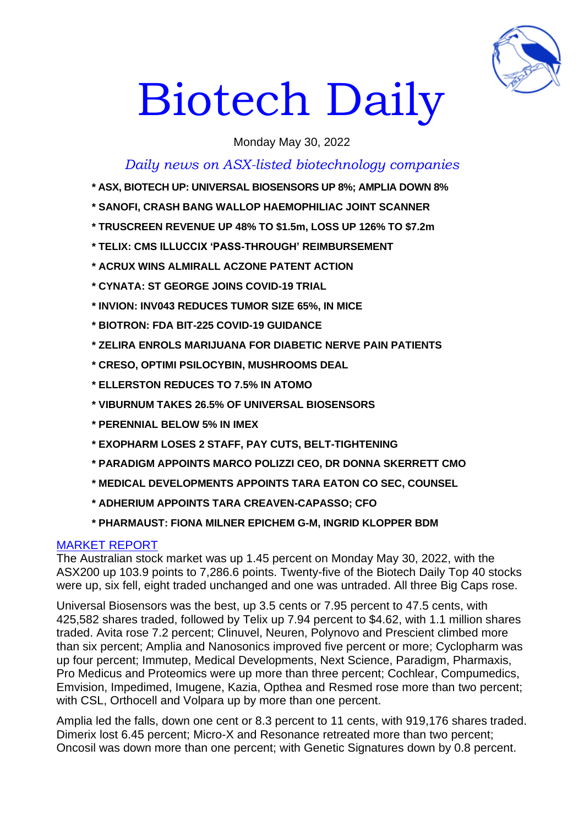

# Biotech Daily

Monday May 30, 2022

## *Daily news on ASX-listed biotechnology companies*

- **\* ASX, BIOTECH UP: UNIVERSAL BIOSENSORS UP 8%; AMPLIA DOWN 8%**
- **\* SANOFI, CRASH BANG WALLOP HAEMOPHILIAC JOINT SCANNER**
- **\* TRUSCREEN REVENUE UP 48% TO \$1.5m, LOSS UP 126% TO \$7.2m**
- **\* TELIX: CMS ILLUCCIX 'PASS-THROUGH' REIMBURSEMENT**
- **\* ACRUX WINS ALMIRALL ACZONE PATENT ACTION**
- **\* CYNATA: ST GEORGE JOINS COVID-19 TRIAL**
- **\* INVION: INV043 REDUCES TUMOR SIZE 65%, IN MICE**
- **\* BIOTRON: FDA BIT-225 COVID-19 GUIDANCE**
- **\* ZELIRA ENROLS MARIJUANA FOR DIABETIC NERVE PAIN PATIENTS**
- **\* CRESO, OPTIMI PSILOCYBIN, MUSHROOMS DEAL**
- **\* ELLERSTON REDUCES TO 7.5% IN ATOMO**
- **\* VIBURNUM TAKES 26.5% OF UNIVERSAL BIOSENSORS**
- **\* PERENNIAL BELOW 5% IN IMEX**
- **\* EXOPHARM LOSES 2 STAFF, PAY CUTS, BELT-TIGHTENING**
- **\* PARADIGM APPOINTS MARCO POLIZZI CEO, DR DONNA SKERRETT CMO**
- **\* MEDICAL DEVELOPMENTS APPOINTS TARA EATON CO SEC, COUNSEL**
- **\* ADHERIUM APPOINTS TARA CREAVEN-CAPASSO; CFO**
- **\* PHARMAUST: FIONA MILNER EPICHEM G-M, INGRID KLOPPER BDM**

## MARKET REPORT

The Australian stock market was up 1.45 percent on Monday May 30, 2022, with the ASX200 up 103.9 points to 7,286.6 points. Twenty-five of the Biotech Daily Top 40 stocks were up, six fell, eight traded unchanged and one was untraded. All three Big Caps rose.

Universal Biosensors was the best, up 3.5 cents or 7.95 percent to 47.5 cents, with 425,582 shares traded, followed by Telix up 7.94 percent to \$4.62, with 1.1 million shares traded. Avita rose 7.2 percent; Clinuvel, Neuren, Polynovo and Prescient climbed more than six percent; Amplia and Nanosonics improved five percent or more; Cyclopharm was up four percent; Immutep, Medical Developments, Next Science, Paradigm, Pharmaxis, Pro Medicus and Proteomics were up more than three percent; Cochlear, Compumedics, Emvision, Impedimed, Imugene, Kazia, Opthea and Resmed rose more than two percent; with CSL, Orthocell and Volpara up by more than one percent.

Amplia led the falls, down one cent or 8.3 percent to 11 cents, with 919,176 shares traded. Dimerix lost 6.45 percent; Micro-X and Resonance retreated more than two percent; Oncosil was down more than one percent; with Genetic Signatures down by 0.8 percent.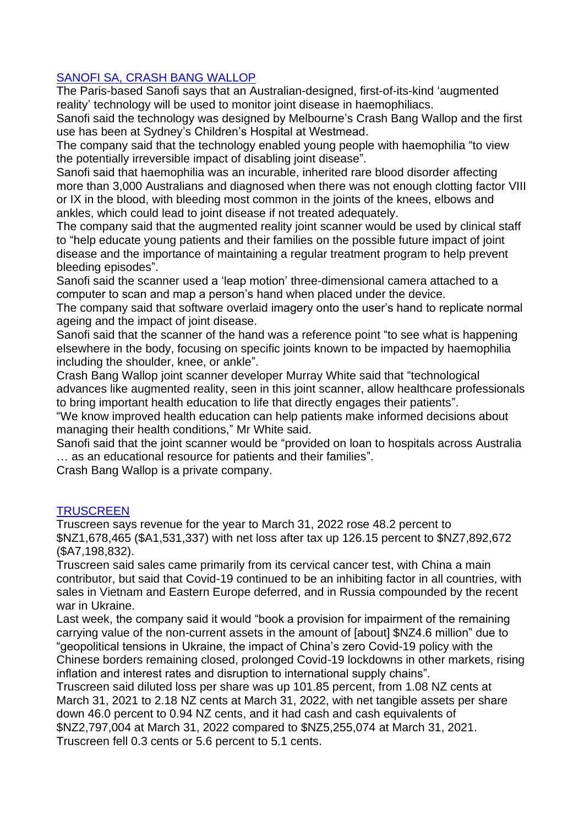## SANOFI SA, CRASH BANG WALLOP

The Paris-based Sanofi says that an Australian-designed, first-of-its-kind 'augmented reality' technology will be used to monitor joint disease in haemophiliacs.

Sanofi said the technology was designed by Melbourne's Crash Bang Wallop and the first use has been at Sydney's Children's Hospital at Westmead.

The company said that the technology enabled young people with haemophilia "to view the potentially irreversible impact of disabling joint disease".

Sanofi said that haemophilia was an incurable, inherited rare blood disorder affecting more than 3,000 Australians and diagnosed when there was not enough clotting factor VIII or IX in the blood, with bleeding most common in the joints of the knees, elbows and ankles, which could lead to joint disease if not treated adequately.

The company said that the augmented reality joint scanner would be used by clinical staff to "help educate young patients and their families on the possible future impact of joint disease and the importance of maintaining a regular treatment program to help prevent bleeding episodes".

Sanofi said the scanner used a 'leap motion' three-dimensional camera attached to a computer to scan and map a person's hand when placed under the device.

The company said that software overlaid imagery onto the user's hand to replicate normal ageing and the impact of joint disease.

Sanofi said that the scanner of the hand was a reference point "to see what is happening elsewhere in the body, focusing on specific joints known to be impacted by haemophilia including the shoulder, knee, or ankle".

Crash Bang Wallop joint scanner developer Murray White said that "technological advances like augmented reality, seen in this joint scanner, allow healthcare professionals to bring important health education to life that directly engages their patients".

"We know improved health education can help patients make informed decisions about managing their health conditions," Mr White said.

Sanofi said that the joint scanner would be "provided on loan to hospitals across Australia … as an educational resource for patients and their families".

Crash Bang Wallop is a private company.

## **TRUSCREEN**

Truscreen says revenue for the year to March 31, 2022 rose 48.2 percent to \$NZ1,678,465 (\$A1,531,337) with net loss after tax up 126.15 percent to \$NZ7,892,672 (\$A7,198,832).

Truscreen said sales came primarily from its cervical cancer test, with China a main contributor, but said that Covid-19 continued to be an inhibiting factor in all countries, with sales in Vietnam and Eastern Europe deferred, and in Russia compounded by the recent war in Ukraine.

Last week, the company said it would "book a provision for impairment of the remaining carrying value of the non-current assets in the amount of [about] \$NZ4.6 million" due to "geopolitical tensions in Ukraine, the impact of China's zero Covid-19 policy with the Chinese borders remaining closed, prolonged Covid-19 lockdowns in other markets, rising inflation and interest rates and disruption to international supply chains".

Truscreen said diluted loss per share was up 101.85 percent, from 1.08 NZ cents at March 31, 2021 to 2.18 NZ cents at March 31, 2022, with net tangible assets per share down 46.0 percent to 0.94 NZ cents, and it had cash and cash equivalents of \$NZ2,797,004 at March 31, 2022 compared to \$NZ5,255,074 at March 31, 2021. Truscreen fell 0.3 cents or 5.6 percent to 5.1 cents.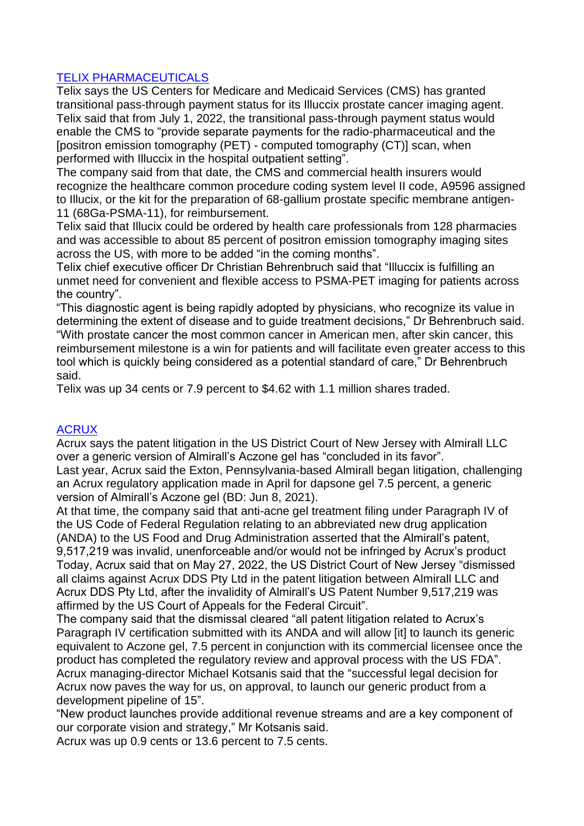## TELIX PHARMACEUTICALS

Telix says the US Centers for Medicare and Medicaid Services (CMS) has granted transitional pass-through payment status for its Illuccix prostate cancer imaging agent. Telix said that from July 1, 2022, the transitional pass-through payment status would enable the CMS to "provide separate payments for the radio-pharmaceutical and the [positron emission tomography (PET) - computed tomography (CT)] scan, when performed with Illuccix in the hospital outpatient setting".

The company said from that date, the CMS and commercial health insurers would recognize the healthcare common procedure coding system level II code, A9596 assigned to Illucix, or the kit for the preparation of 68-gallium prostate specific membrane antigen-11 (68Ga-PSMA-11), for reimbursement.

Telix said that Illucix could be ordered by health care professionals from 128 pharmacies and was accessible to about 85 percent of positron emission tomography imaging sites across the US, with more to be added "in the coming months".

Telix chief executive officer Dr Christian Behrenbruch said that "Illuccix is fulfilling an unmet need for convenient and flexible access to PSMA-PET imaging for patients across the country".

"This diagnostic agent is being rapidly adopted by physicians, who recognize its value in determining the extent of disease and to guide treatment decisions," Dr Behrenbruch said. "With prostate cancer the most common cancer in American men, after skin cancer, this reimbursement milestone is a win for patients and will facilitate even greater access to this tool which is quickly being considered as a potential standard of care," Dr Behrenbruch said.

Telix was up 34 cents or 7.9 percent to \$4.62 with 1.1 million shares traded.

#### **ACRUX**

Acrux says the patent litigation in the US District Court of New Jersey with Almirall LLC over a generic version of Almirall's Aczone gel has "concluded in its favor".

Last year, Acrux said the Exton, Pennsylvania-based Almirall began litigation, challenging an Acrux regulatory application made in April for dapsone gel 7.5 percent, a generic version of Almirall's Aczone gel (BD: Jun 8, 2021).

At that time, the company said that anti-acne gel treatment filing under Paragraph IV of the US Code of Federal Regulation relating to an abbreviated new drug application (ANDA) to the US Food and Drug Administration asserted that the Almirall's patent, 9,517,219 was invalid, unenforceable and/or would not be infringed by Acrux's product Today, Acrux said that on May 27, 2022, the US District Court of New Jersey "dismissed all claims against Acrux DDS Pty Ltd in the patent litigation between Almirall LLC and Acrux DDS Pty Ltd, after the invalidity of Almirall's US Patent Number 9,517,219 was affirmed by the US Court of Appeals for the Federal Circuit".

The company said that the dismissal cleared "all patent litigation related to Acrux's Paragraph IV certification submitted with its ANDA and will allow [it] to launch its generic equivalent to Aczone gel, 7.5 percent in conjunction with its commercial licensee once the product has completed the regulatory review and approval process with the US FDA". Acrux managing-director Michael Kotsanis said that the "successful legal decision for Acrux now paves the way for us, on approval, to launch our generic product from a development pipeline of 15".

"New product launches provide additional revenue streams and are a key component of our corporate vision and strategy," Mr Kotsanis said.

Acrux was up 0.9 cents or 13.6 percent to 7.5 cents.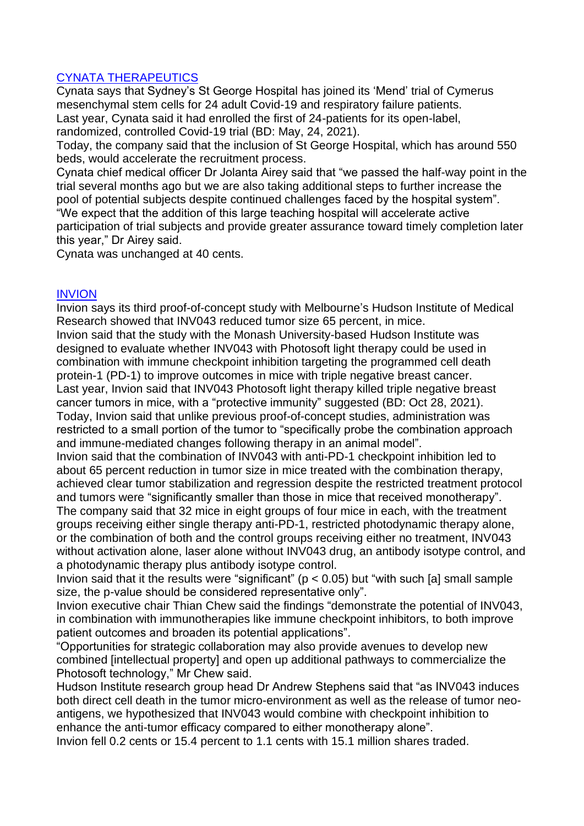## CYNATA THERAPEUTICS

Cynata says that Sydney's St George Hospital has joined its 'Mend' trial of Cymerus mesenchymal stem cells for 24 adult Covid-19 and respiratory failure patients. Last year, Cynata said it had enrolled the first of 24-patients for its open-label, randomized, controlled Covid-19 trial (BD: May, 24, 2021).

Today, the company said that the inclusion of St George Hospital, which has around 550 beds, would accelerate the recruitment process.

Cynata chief medical officer Dr Jolanta Airey said that "we passed the half-way point in the trial several months ago but we are also taking additional steps to further increase the pool of potential subjects despite continued challenges faced by the hospital system".

"We expect that the addition of this large teaching hospital will accelerate active participation of trial subjects and provide greater assurance toward timely completion later this year," Dr Airey said.

Cynata was unchanged at 40 cents.

#### INVION

Invion says its third proof-of-concept study with Melbourne's Hudson Institute of Medical Research showed that INV043 reduced tumor size 65 percent, in mice.

Invion said that the study with the Monash University-based Hudson Institute was designed to evaluate whether INV043 with Photosoft light therapy could be used in combination with immune checkpoint inhibition targeting the programmed cell death protein-1 (PD-1) to improve outcomes in mice with triple negative breast cancer. Last year, Invion said that INV043 Photosoft light therapy killed triple negative breast cancer tumors in mice, with a "protective immunity" suggested (BD: Oct 28, 2021). Today, Invion said that unlike previous proof-of-concept studies, administration was restricted to a small portion of the tumor to "specifically probe the combination approach and immune-mediated changes following therapy in an animal model".

Invion said that the combination of INV043 with anti-PD-1 checkpoint inhibition led to about 65 percent reduction in tumor size in mice treated with the combination therapy, achieved clear tumor stabilization and regression despite the restricted treatment protocol and tumors were "significantly smaller than those in mice that received monotherapy". The company said that 32 mice in eight groups of four mice in each, with the treatment groups receiving either single therapy anti-PD-1, restricted photodynamic therapy alone, or the combination of both and the control groups receiving either no treatment, INV043 without activation alone, laser alone without INV043 drug, an antibody isotype control, and a photodynamic therapy plus antibody isotype control.

Invion said that it the results were "significant" ( $p < 0.05$ ) but "with such [a] small sample size, the p-value should be considered representative only".

Invion executive chair Thian Chew said the findings "demonstrate the potential of INV043, in combination with immunotherapies like immune checkpoint inhibitors, to both improve patient outcomes and broaden its potential applications".

"Opportunities for strategic collaboration may also provide avenues to develop new combined [intellectual property] and open up additional pathways to commercialize the Photosoft technology," Mr Chew said.

Hudson Institute research group head Dr Andrew Stephens said that "as INV043 induces both direct cell death in the tumor micro-environment as well as the release of tumor neoantigens, we hypothesized that INV043 would combine with checkpoint inhibition to enhance the anti-tumor efficacy compared to either monotherapy alone".

Invion fell 0.2 cents or 15.4 percent to 1.1 cents with 15.1 million shares traded.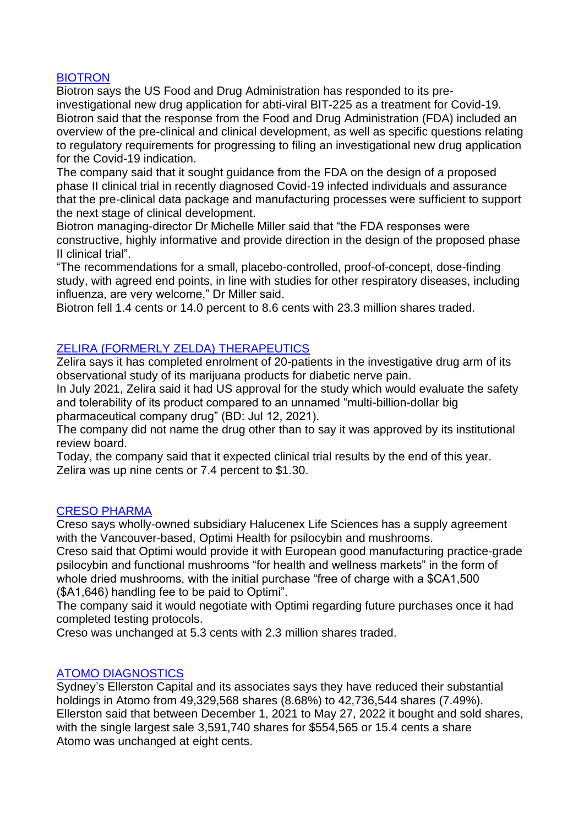#### BIOTRON

Biotron says the US Food and Drug Administration has responded to its preinvestigational new drug application for abti-viral BIT-225 as a treatment for Covid-19. Biotron said that the response from the Food and Drug Administration (FDA) included an overview of the pre-clinical and clinical development, as well as specific questions relating to regulatory requirements for progressing to filing an investigational new drug application for the Covid-19 indication.

The company said that it sought guidance from the FDA on the design of a proposed phase II clinical trial in recently diagnosed Covid-19 infected individuals and assurance that the pre-clinical data package and manufacturing processes were sufficient to support the next stage of clinical development.

Biotron managing-director Dr Michelle Miller said that "the FDA responses were constructive, highly informative and provide direction in the design of the proposed phase II clinical trial".

"The recommendations for a small, placebo-controlled, proof-of-concept, dose-finding study, with agreed end points, in line with studies for other respiratory diseases, including influenza, are very welcome," Dr Miller said.

Biotron fell 1.4 cents or 14.0 percent to 8.6 cents with 23.3 million shares traded.

## ZELIRA (FORMERLY ZELDA) THERAPEUTICS

Zelira says it has completed enrolment of 20-patients in the investigative drug arm of its observational study of its marijuana products for diabetic nerve pain.

In July 2021, Zelira said it had US approval for the study which would evaluate the safety and tolerability of its product compared to an unnamed "multi-billion-dollar big pharmaceutical company drug" (BD: Jul 12, 2021).

The company did not name the drug other than to say it was approved by its institutional review board.

Today, the company said that it expected clinical trial results by the end of this year. Zelira was up nine cents or 7.4 percent to \$1.30.

#### CRESO PHARMA

Creso says wholly-owned subsidiary Halucenex Life Sciences has a supply agreement with the Vancouver-based, Optimi Health for psilocybin and mushrooms.

Creso said that Optimi would provide it with European good manufacturing practice-grade psilocybin and functional mushrooms "for health and wellness markets" in the form of whole dried mushrooms, with the initial purchase "free of charge with a \$CA1,500 (\$A1,646) handling fee to be paid to Optimi".

The company said it would negotiate with Optimi regarding future purchases once it had completed testing protocols.

Creso was unchanged at 5.3 cents with 2.3 million shares traded.

#### ATOMO DIAGNOSTICS

Sydney's Ellerston Capital and its associates says they have reduced their substantial holdings in Atomo from 49,329,568 shares (8.68%) to 42,736,544 shares (7.49%). Ellerston said that between December 1, 2021 to May 27, 2022 it bought and sold shares, with the single largest sale 3,591,740 shares for \$554,565 or 15.4 cents a share Atomo was unchanged at eight cents.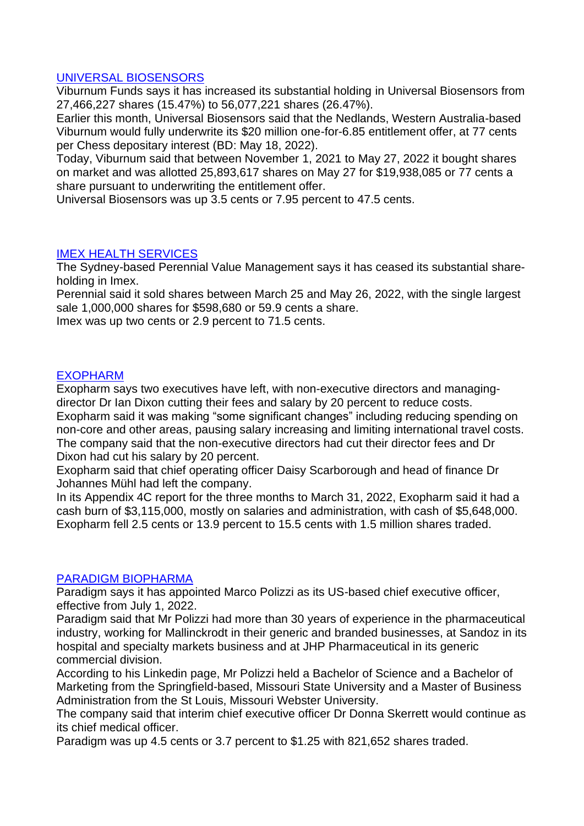#### UNIVERSAL BIOSENSORS

Viburnum Funds says it has increased its substantial holding in Universal Biosensors from 27,466,227 shares (15.47%) to 56,077,221 shares (26.47%).

Earlier this month, Universal Biosensors said that the Nedlands, Western Australia-based Viburnum would fully underwrite its \$20 million one-for-6.85 entitlement offer, at 77 cents per Chess depositary interest (BD: May 18, 2022).

Today, Viburnum said that between November 1, 2021 to May 27, 2022 it bought shares on market and was allotted 25,893,617 shares on May 27 for \$19,938,085 or 77 cents a share pursuant to underwriting the entitlement offer.

Universal Biosensors was up 3.5 cents or 7.95 percent to 47.5 cents.

#### IMEX HEALTH SERVICES

The Sydney-based Perennial Value Management says it has ceased its substantial shareholding in Imex.

Perennial said it sold shares between March 25 and May 26, 2022, with the single largest sale 1,000,000 shares for \$598,680 or 59.9 cents a share.

Imex was up two cents or 2.9 percent to 71.5 cents.

#### EXOPHARM

Exopharm says two executives have left, with non-executive directors and managingdirector Dr Ian Dixon cutting their fees and salary by 20 percent to reduce costs.

Exopharm said it was making "some significant changes" including reducing spending on non-core and other areas, pausing salary increasing and limiting international travel costs. The company said that the non-executive directors had cut their director fees and Dr Dixon had cut his salary by 20 percent.

Exopharm said that chief operating officer Daisy Scarborough and head of finance Dr Johannes Mühl had left the company.

In its Appendix 4C report for the three months to March 31, 2022, Exopharm said it had a cash burn of \$3,115,000, mostly on salaries and administration, with cash of \$5,648,000. Exopharm fell 2.5 cents or 13.9 percent to 15.5 cents with 1.5 million shares traded.

#### PARADIGM BIOPHARMA

Paradigm says it has appointed Marco Polizzi as its US-based chief executive officer, effective from July 1, 2022.

Paradigm said that Mr Polizzi had more than 30 years of experience in the pharmaceutical industry, working for Mallinckrodt in their generic and branded businesses, at Sandoz in its hospital and specialty markets business and at JHP Pharmaceutical in its generic commercial division.

According to his Linkedin page, Mr Polizzi held a Bachelor of Science and a Bachelor of Marketing from the Springfield-based, Missouri State University and a Master of Business Administration from the St Louis, Missouri Webster University.

The company said that interim chief executive officer Dr Donna Skerrett would continue as its chief medical officer.

Paradigm was up 4.5 cents or 3.7 percent to \$1.25 with 821,652 shares traded.